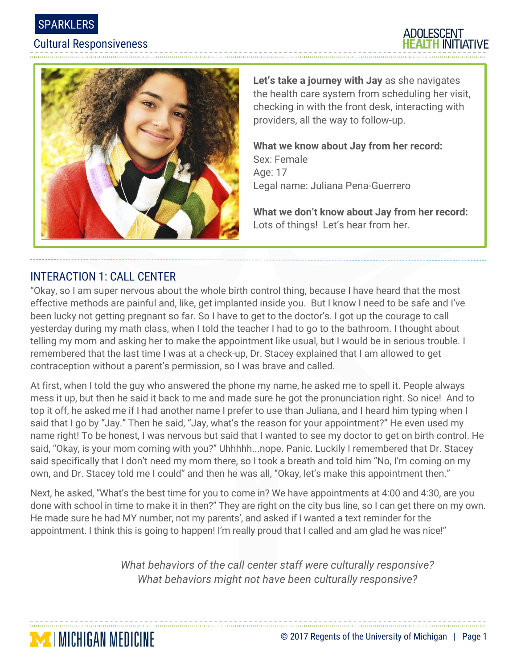





**Let's take a journey with Jay** as she navigates the health care system from scheduling her visit, checking in with the front desk, interacting with providers, all the way to follow-up.

**What we know about Jay from her record:**  Sex: Female Age: 17 Legal name: Juliana Pena-Guerrero

**What we don't know about Jay from her record:** Lots of things! Let's hear from her.

# INTERACTION 1: CALL CENTER

"Okay, so I am super nervous about the whole birth control thing, because I have heard that the most effective methods are painful and, like, get implanted inside you. But I know I need to be safe and I've been lucky not getting pregnant so far. So I have to get to the doctor's. I got up the courage to call yesterday during my math class, when I told the teacher I had to go to the bathroom. I thought about telling my mom and asking her to make the appointment like usual, but I would be in serious trouble. I remembered that the last time I was at a check-up, Dr. Stacey explained that I am allowed to get contraception without a parent's permission, so I was brave and called.

At first, when I told the guy who answered the phone my name, he asked me to spell it. People always mess it up, but then he said it back to me and made sure he got the pronunciation right. So nice! And to top it off, he asked me if I had another name I prefer to use than Juliana, and I heard him typing when I said that I go by "Jay." Then he said, "Jay, what's the reason for your appointment?" He even used my name right! To be honest, I was nervous but said that I wanted to see my doctor to get on birth control. He said, "Okay, is your mom coming with you?" Uhhhhh...nope. Panic. Luckily I remembered that Dr. Stacey said specifically that I don't need my mom there, so I took a breath and told him "No, I'm coming on my own, and Dr. Stacey told me I could" and then he was all, "Okay, let's make this appointment then."

Next, he asked, "What's the best time for you to come in? We have appointments at 4:00 and 4:30, are you done with school in time to make it in then?" They are right on the city bus line, so I can get there on my own. He made sure he had MY number, not my parents', and asked if I wanted a text reminder for the appointment. I think this is going to happen! I'm really proud that I called and am glad he was nice!"

> *What behaviors of the call center staff were culturally responsive? What behaviors might not have been culturally responsive?*

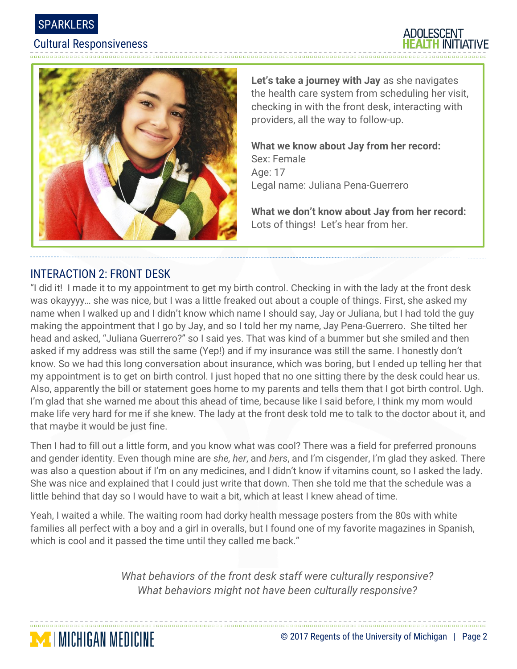

ADOLESCENT



**Let's take a journey with Jay** as she navigates the health care system from scheduling her visit, checking in with the front desk, interacting with providers, all the way to follow-up.

**What we know about Jay from her record:**  Sex: Female Age: 17 Legal name: Juliana Pena-Guerrero

**What we don't know about Jay from her record:** Lots of things! Let's hear from her.

## INTERACTION 2: FRONT DESK

**MICHIGAN MEDICINE** 

"I did it! I made it to my appointment to get my birth control. Checking in with the lady at the front desk was okayyyy… she was nice, but I was a little freaked out about a couple of things. First, she asked my name when I walked up and I didn't know which name I should say, Jay or Juliana, but I had told the guy making the appointment that I go by Jay, and so I told her my name, Jay Pena-Guerrero. She tilted her head and asked, "Juliana Guerrero?" so I said yes. That was kind of a bummer but she smiled and then asked if my address was still the same (Yep!) and if my insurance was still the same. I honestly don't know. So we had this long conversation about insurance, which was boring, but I ended up telling her that my appointment is to get on birth control. I just hoped that no one sitting there by the desk could hear us. Also, apparently the bill or statement goes home to my parents and tells them that I got birth control. Ugh. I'm glad that she warned me about this ahead of time, because like I said before, I think my mom would make life very hard for me if she knew. The lady at the front desk told me to talk to the doctor about it, and that maybe it would be just fine.

Then I had to fill out a little form, and you know what was cool? There was a field for preferred pronouns and gender identity. Even though mine are *she, her*, and *hers*, and I'm cisgender, I'm glad they asked. There was also a question about if I'm on any medicines, and I didn't know if vitamins count, so I asked the lady. She was nice and explained that I could just write that down. Then she told me that the schedule was a little behind that day so I would have to wait a bit, which at least I knew ahead of time.

Yeah, I waited a while. The waiting room had dorky health message posters from the 80s with white families all perfect with a boy and a girl in overalls, but I found one of my favorite magazines in Spanish, which is cool and it passed the time until they called me back."

> *What behaviors of the front desk staff were culturally responsive? What behaviors might not have been culturally responsive?*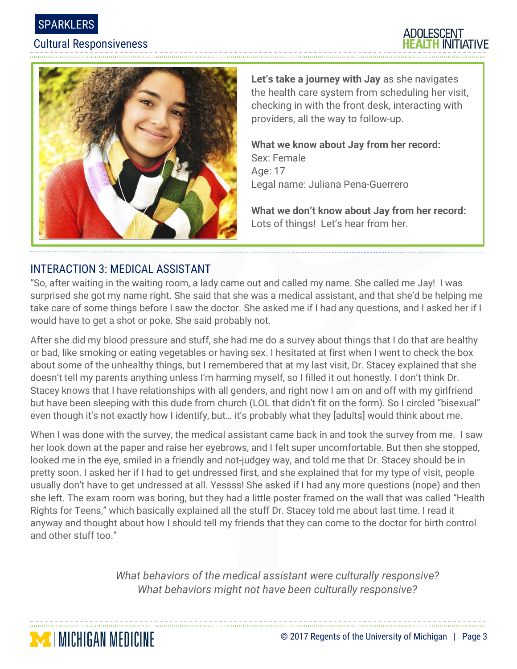



**Let's take a journey with Jay** as she navigates the health care system from scheduling her visit, checking in with the front desk, interacting with providers, all the way to follow-up.

ADOLESCENT

**What we know about Jay from her record:**  Sex: Female Age: 17 Legal name: Juliana Pena-Guerrero

**What we don't know about Jay from her record:** Lots of things! Let's hear from her.

# INTERACTION 3: MEDICAL ASSISTANT

"So, after waiting in the waiting room, a lady came out and called my name. She called me Jay! I was surprised she got my name right. She said that she was a medical assistant, and that she'd be helping me take care of some things before I saw the doctor. She asked me if I had any questions, and I asked her if I would have to get a shot or poke. She said probably not.

After she did my blood pressure and stuff, she had me do a survey about things that I do that are healthy or bad, like smoking or eating vegetables or having sex. I hesitated at first when I went to check the box about some of the unhealthy things, but I remembered that at my last visit, Dr. Stacey explained that she doesn't tell my parents anything unless I'm harming myself, so I filled it out honestly. I don't think Dr. Stacey knows that I have relationships with all genders, and right now I am on and off with my girlfriend but have been sleeping with this dude from church (LOL that didn't fit on the form). So I circled "bisexual" even though it's not exactly how I identify, but… it's probably what they [adults] would think about me.

When I was done with the survey, the medical assistant came back in and took the survey from me. I saw her look down at the paper and raise her eyebrows, and I felt super uncomfortable. But then she stopped, looked me in the eye, smiled in a friendly and not-judgey way, and told me that Dr. Stacey should be in pretty soon. I asked her if I had to get undressed first, and she explained that for my type of visit, people usually don't have to get undressed at all. Yessss! She asked if I had any more questions (nope) and then she left. The exam room was boring, but they had a little poster framed on the wall that was called "Health Rights for Teens," which basically explained all the stuff Dr. Stacey told me about last time. I read it anyway and thought about how I should tell my friends that they can come to the doctor for birth control and other stuff too."

> *What behaviors of the medical assistant were culturally responsive? What behaviors might not have been culturally responsive?*

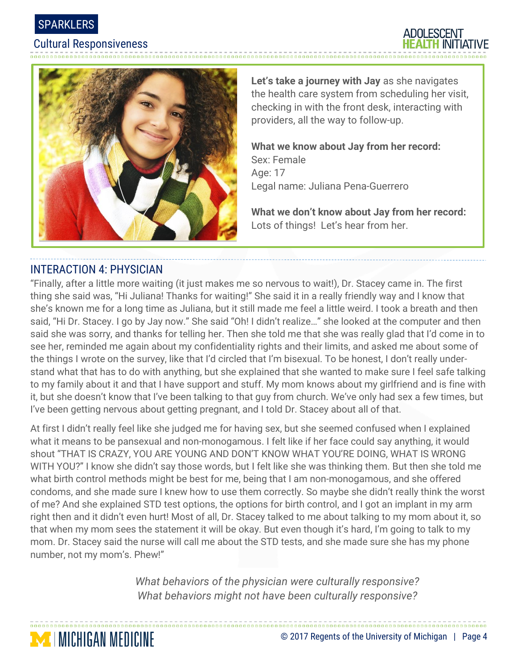





**Let's take a journey with Jay** as she navigates the health care system from scheduling her visit, checking in with the front desk, interacting with providers, all the way to follow-up.

**What we know about Jay from her record:**  Sex: Female Age: 17 Legal name: Juliana Pena-Guerrero

**What we don't know about Jay from her record:** Lots of things! Let's hear from her.

#### INTERACTION 4: PHYSICIAN

**MICHIGAN MEDICINE** 

"Finally, after a little more waiting (it just makes me so nervous to wait!), Dr. Stacey came in. The first thing she said was, "Hi Juliana! Thanks for waiting!" She said it in a really friendly way and I know that she's known me for a long time as Juliana, but it still made me feel a little weird. I took a breath and then said, "Hi Dr. Stacey. I go by Jay now." She said "Oh! I didn't realize…" she looked at the computer and then said she was sorry, and thanks for telling her. Then she told me that she was really glad that I'd come in to see her, reminded me again about my confidentiality rights and their limits, and asked me about some of the things I wrote on the survey, like that I'd circled that I'm bisexual. To be honest, I don't really understand what that has to do with anything, but she explained that she wanted to make sure I feel safe talking to my family about it and that I have support and stuff. My mom knows about my girlfriend and is fine with it, but she doesn't know that I've been talking to that guy from church. We've only had sex a few times, but I've been getting nervous about getting pregnant, and I told Dr. Stacey about all of that.

At first I didn't really feel like she judged me for having sex, but she seemed confused when I explained what it means to be pansexual and non-monogamous. I felt like if her face could say anything, it would shout "THAT IS CRAZY, YOU ARE YOUNG AND DON'T KNOW WHAT YOU'RE DOING, WHAT IS WRONG WITH YOU?" I know she didn't say those words, but I felt like she was thinking them. But then she told me what birth control methods might be best for me, being that I am non-monogamous, and she offered condoms, and she made sure I knew how to use them correctly. So maybe she didn't really think the worst of me? And she explained STD test options, the options for birth control, and I got an implant in my arm right then and it didn't even hurt! Most of all, Dr. Stacey talked to me about talking to my mom about it, so that when my mom sees the statement it will be okay. But even though it's hard, I'm going to talk to my mom. Dr. Stacey said the nurse will call me about the STD tests, and she made sure she has my phone number, not my mom's. Phew!"

> *What behaviors of the physician were culturally responsive? What behaviors might not have been culturally responsive?*